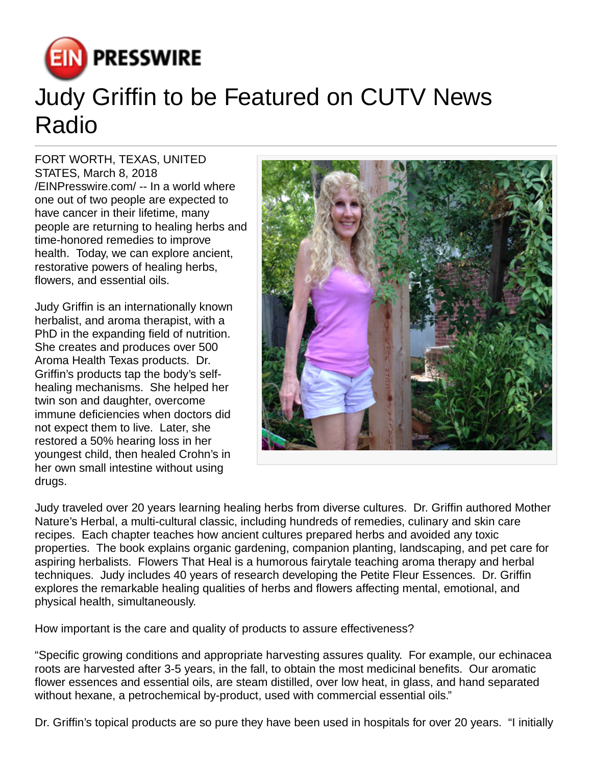

## Judy Griffin to be Featured on CUTV News Radio

FORT WORTH, TEXAS, UNITED STATES, March 8, 2018 [/EINPresswire.com](http://www.einpresswire.com)/ -- In a world where one out of two people are expected to have cancer in their lifetime, many people are returning to healing herbs and time-honored remedies to improve health. Today, we can explore ancient, restorative powers of healing herbs, flowers, and essential oils.

Judy Griffin is an internationally known herbalist, and aroma therapist, with a PhD in the expanding field of nutrition. She creates and produces over 500 Aroma Health Texas products. Dr. Griffin's products tap the body's selfhealing mechanisms. She helped her twin son and daughter, overcome immune deficiencies when doctors did not expect them to live. Later, she restored a 50% hearing loss in her youngest child, then healed Crohn's in her own small intestine without using drugs.



Judy traveled over 20 years learning healing herbs from diverse cultures. Dr. Griffin authored Mother Nature's Herbal, a multi-cultural classic, including hundreds of remedies, culinary and skin care recipes. Each chapter teaches how ancient cultures prepared herbs and avoided any toxic properties. The book explains organic gardening, companion planting, landscaping, and pet care for aspiring herbalists. Flowers That Heal is a humorous fairytale teaching aroma therapy and herbal techniques. Judy includes 40 years of research developing the Petite Fleur Essences. Dr. Griffin explores the remarkable healing qualities of herbs and flowers affecting mental, emotional, and physical health, simultaneously.

How important is the care and quality of products to assure effectiveness?

"Specific growing conditions and appropriate harvesting assures quality. For example, our echinacea roots are harvested after 3-5 years, in the fall, to obtain the most medicinal benefits. Our aromatic flower essences and essential oils, are steam distilled, over low heat, in glass, and hand separated without hexane, a petrochemical by-product, used with commercial essential oils."

Dr. Griffin's topical products are so pure they have been used in hospitals for over 20 years. "I initially